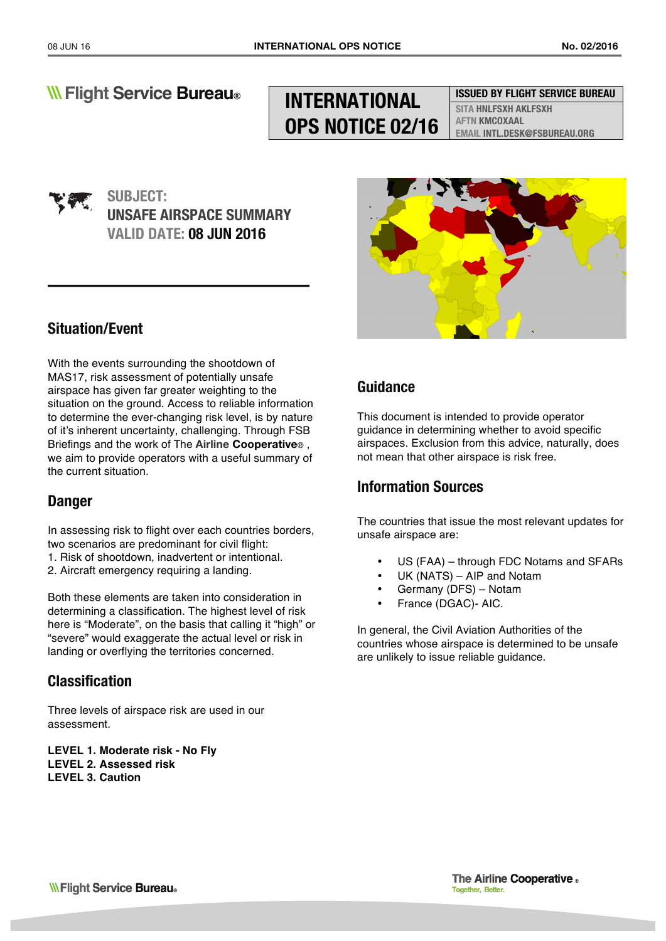# **INTERNATIONAL OPS NOTICE 02/16**

### **ISSUED BY FLIGHT SERVICE BUREAU**

**SITA HNLFSXH AKLFSXH AFTN KMCOXAAL EMAIL INTL.DESK@FSBUREAU.ORG**

## **SUBJECT: UNSAFE AIRSPACE SUMMARY VALID DATE: 08 JUN 2016**

## **Situation/Event**

With the events surrounding the shootdown of MAS17, risk assessment of potentially unsafe airspace has given far greater weighting to the situation on the ground. Access to reliable information to determine the ever-changing risk level, is by nature of it's inherent uncertainty, challenging. Through FSB Briefings and the work of The **Airline Cooperative**® , we aim to provide operators with a useful summary of the current situation.

## **Danger**

In assessing risk to flight over each countries borders, two scenarios are predominant for civil flight:

- 1. Risk of shootdown, inadvertent or intentional.
- 2. Aircraft emergency requiring a landing.

Both these elements are taken into consideration in determining a classification. The highest level of risk here is "Moderate", on the basis that calling it "high" or "severe" would exaggerate the actual level or risk in landing or overflying the territories concerned.

## **Classification**

Three levels of airspace risk are used in our assessment.

**LEVEL 1. Moderate risk - No Fly LEVEL 2. Assessed risk LEVEL 3. Caution** 



## **Guidance**

This document is intended to provide operator guidance in determining whether to avoid specific airspaces. Exclusion from this advice, naturally, does not mean that other airspace is risk free.

### **Information Sources**

The countries that issue the most relevant updates for unsafe airspace are:

- US (FAA) through FDC Notams and SFARs
- UK (NATS) AIP and Notam
- Germany (DFS) Notam
- France (DGAC)- AIC.

In general, the Civil Aviation Authorities of the countries whose airspace is determined to be unsafe are unlikely to issue reliable guidance.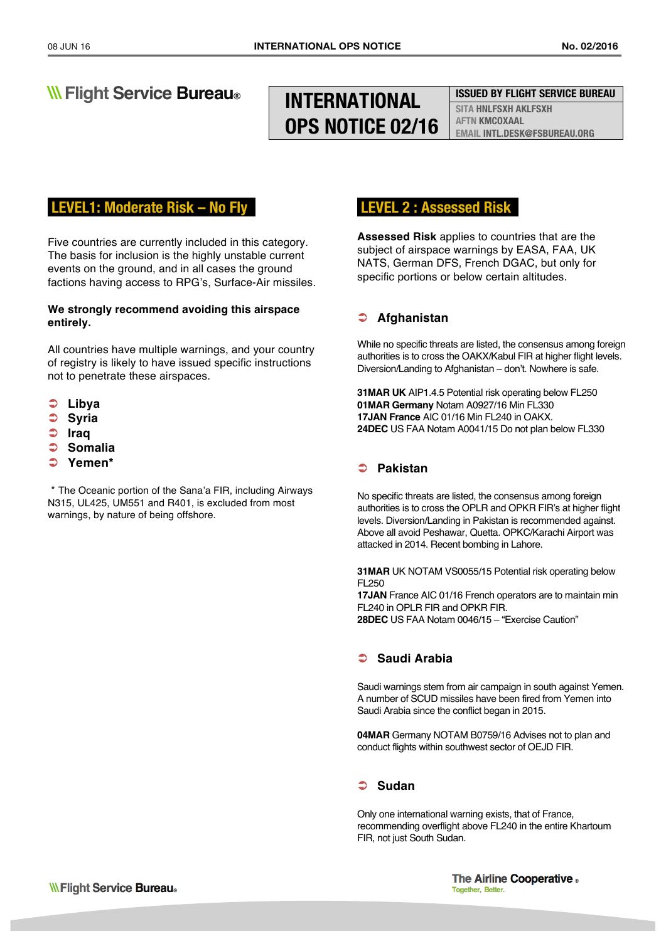# **INTERNATIONAL OPS NOTICE 02/16**

#### **ISSUED BY FLIGHT SERVICE BUREAU**

**SITA HNLFSXH AKLFSXH AFTN KMCOXAAL EMAIL INTL.DESK@FSBUREAU.ORG**

### **LEVEL1: Moderate Risk – No Fly .**

Five countries are currently included in this category. The basis for inclusion is the highly unstable current events on the ground, and in all cases the ground factions having access to RPG's, Surface-Air missiles.

#### **We strongly recommend avoiding this airspace entirely.**

All countries have multiple warnings, and your country of registry is likely to have issued specific instructions not to penetrate these airspaces.

- Ü **Libya**
- Ü **Syria**
- Ü **Iraq**
- Ü **Somalia**
- Ü **Yemen\***

\* The Oceanic portion of the Sana'a FIR, including Airways N315, UL425, UM551 and R401, is excluded from most warnings, by nature of being offshore.

### **LEVEL 2 : Assessed Risk .**

**Assessed Risk** applies to countries that are the subject of airspace warnings by EASA, FAA, UK NATS, German DFS, French DGAC, but only for specific portions or below certain altitudes.

### Ü **Afghanistan**

While no specific threats are listed, the consensus among foreign authorities is to cross the OAKX/Kabul FIR at higher flight levels. Diversion/Landing to Afghanistan – don't. Nowhere is safe.

**31MAR UK** AIP1.4.5 Potential risk operating below FL250 **01MAR Germany** Notam A0927/16 Min FL330 **17JAN France** AIC 01/16 Min FL240 in OAKX. **24DEC** US FAA Notam A0041/15 Do not plan below FL330

### Ü **Pakistan**

No specific threats are listed, the consensus among foreign authorities is to cross the OPLR and OPKR FIR's at higher flight levels. Diversion/Landing in Pakistan is recommended against. Above all avoid Peshawar, Quetta. OPKC/Karachi Airport was attacked in 2014. Recent bombing in Lahore.

**31MAR** UK NOTAM VS0055/15 Potential risk operating below FL250

**17JAN** France AIC 01/16 French operators are to maintain min FL240 in OPLR FIR and OPKR FIR. **28DEC** US FAA Notam 0046/15 – "Exercise Caution"

### Ü **Saudi Arabia**

Saudi warnings stem from air campaign in south against Yemen. A number of SCUD missiles have been fired from Yemen into Saudi Arabia since the conflict began in 2015.

**04MAR** Germany NOTAM B0759/16 Advises not to plan and conduct flights within southwest sector of OEJD FIR.

### Ü **Sudan**

Only one international warning exists, that of France, recommending overflight above FL240 in the entire Khartoum FIR, not just South Sudan.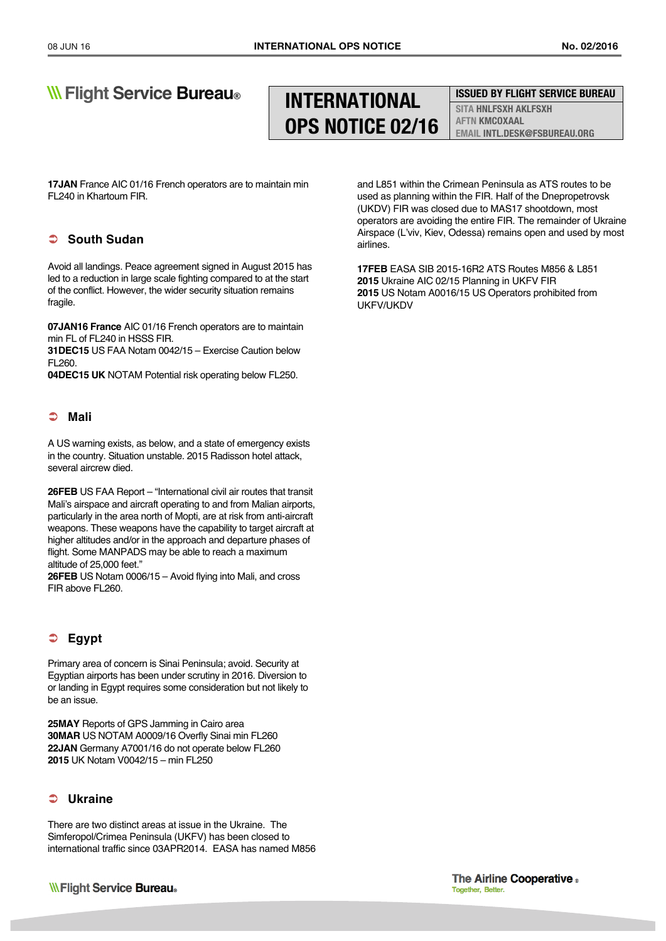# **INTERNATIONAL OPS NOTICE 02/16**

### **ISSUED BY FLIGHT SERVICE BUREAU**

**SITA HNLFSXH AKLFSXH AFTN KMCOXAAL EMAIL INTL.DESK@FSBUREAU.ORG**

**17JAN** France AIC 01/16 French operators are to maintain min FL240 in Khartoum FIR.

### Ü **South Sudan**

Avoid all landings. Peace agreement signed in August 2015 has led to a reduction in large scale fighting compared to at the start of the conflict. However, the wider security situation remains fragile.

**07JAN16 France** AIC 01/16 French operators are to maintain min FL of FL240 in HSSS FIR.

**31DEC15** US FAA Notam 0042/15 – Exercise Caution below FL260.

**04DEC15 UK** NOTAM Potential risk operating below FL250.

#### Ü **Mali**

A US warning exists, as below, and a state of emergency exists in the country. Situation unstable. 2015 Radisson hotel attack, several aircrew died.

**26FEB** US FAA Report – "International civil air routes that transit Mali's airspace and aircraft operating to and from Malian airports, particularly in the area north of Mopti, are at risk from anti-aircraft weapons. These weapons have the capability to target aircraft at higher altitudes and/or in the approach and departure phases of flight. Some MANPADS may be able to reach a maximum altitude of 25,000 feet."

**26FEB** US Notam 0006/15 – Avoid flying into Mali, and cross FIR above FL260.

### Ü **Egypt**

Primary area of concern is Sinai Peninsula; avoid. Security at Egyptian airports has been under scrutiny in 2016. Diversion to or landing in Egypt requires some consideration but not likely to be an issue.

**25MAY** Reports of GPS Jamming in Cairo area **30MAR** US NOTAM A0009/16 Overfly Sinai min FL260 **22JAN** Germany A7001/16 do not operate below FL260 **2015** UK Notam V0042/15 – min FL250

### Ü **Ukraine**

There are two distinct areas at issue in the Ukraine. The Simferopol/Crimea Peninsula (UKFV) has been closed to international traffic since 03APR2014. EASA has named M856

**WFlight Service Bureau**.

and L851 within the Crimean Peninsula as ATS routes to be used as planning within the FIR. Half of the Dnepropetrovsk (UKDV) FIR was closed due to MAS17 shootdown, most operators are avoiding the entire FIR. The remainder of Ukraine Airspace (L'viv, Kiev, Odessa) remains open and used by most airlines.

**17FEB** EASA SIB 2015-16R2 ATS Routes M856 & L851 **2015** Ukraine AIC 02/15 Planning in UKFV FIR **2015** US Notam A0016/15 US Operators prohibited from UKFV/UKDV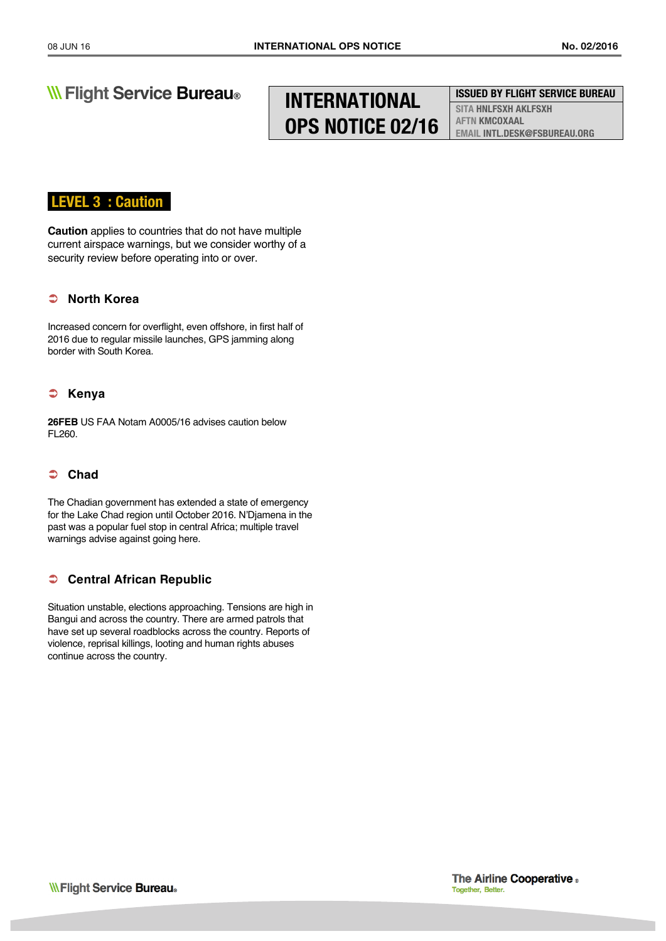# **INTERNATIONAL OPS NOTICE 02/16**

**ISSUED BY FLIGHT SERVICE BUREAU**

**SITA HNLFSXH AKLFSXH AFTN KMCOXAAL EMAIL INTL.DESK@FSBUREAU.ORG**

### **LEVEL 3 : Caution .**

**Caution** applies to countries that do not have multiple current airspace warnings, but we consider worthy of a security review before operating into or over.

### Ü **North Korea**

Increased concern for overflight, even offshore, in first half of 2016 due to regular missile launches, GPS jamming along border with South Korea.

### Ü **Kenya**

**26FEB** US FAA Notam A0005/16 advises caution below FL260.

### Ü **Chad**

The Chadian government has extended a state of emergency for the Lake Chad region until October 2016. N'Djamena in the past was a popular fuel stop in central Africa; multiple travel warnings advise against going here.

### **Central African Republic**

Situation unstable, elections approaching. Tensions are high in Bangui and across the country. There are armed patrols that have set up several roadblocks across the country. Reports of violence, reprisal killings, looting and human rights abuses continue across the country.